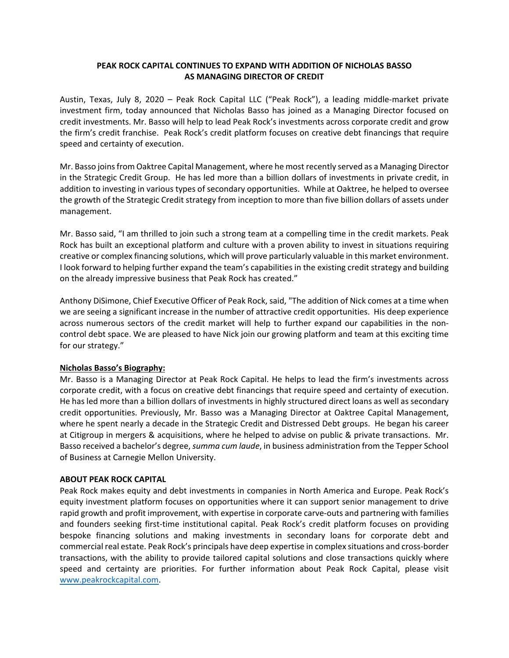## **PEAK ROCK CAPITAL CONTINUES TO EXPAND WITH ADDITION OF NICHOLAS BASSO AS MANAGING DIRECTOR OF CREDIT**

Austin, Texas, July 8, 2020 – Peak Rock Capital LLC ("Peak Rock"), a leading middle‐market private investment firm, today announced that Nicholas Basso has joined as a Managing Director focused on credit investments. Mr. Basso will help to lead Peak Rock's investments across corporate credit and grow the firm's credit franchise. Peak Rock's credit platform focuses on creative debt financings that require speed and certainty of execution.

Mr. Basso joins from Oaktree Capital Management, where he most recently served as a Managing Director in the Strategic Credit Group. He has led more than a billion dollars of investments in private credit, in addition to investing in various types of secondary opportunities. While at Oaktree, he helped to oversee the growth of the Strategic Credit strategy from inception to more than five billion dollars of assets under management.

Mr. Basso said, "I am thrilled to join such a strong team at a compelling time in the credit markets. Peak Rock has built an exceptional platform and culture with a proven ability to invest in situations requiring creative or complex financing solutions, which will prove particularly valuable in this market environment. I look forward to helping further expand the team's capabilities in the existing credit strategy and building on the already impressive business that Peak Rock has created."

Anthony DiSimone, Chief Executive Officer of Peak Rock, said, "The addition of Nick comes at a time when we are seeing a significant increase in the number of attractive credit opportunities. His deep experience across numerous sectors of the credit market will help to further expand our capabilities in the noncontrol debt space. We are pleased to have Nick join our growing platform and team at this exciting time for our strategy."

## **Nicholas Basso's Biography:**

Mr. Basso is a Managing Director at Peak Rock Capital. He helps to lead the firm's investments across corporate credit, with a focus on creative debt financings that require speed and certainty of execution. He has led more than a billion dollars of investments in highly structured direct loans as well as secondary credit opportunities. Previously, Mr. Basso was a Managing Director at Oaktree Capital Management, where he spent nearly a decade in the Strategic Credit and Distressed Debt groups. He began his career at Citigroup in mergers & acquisitions, where he helped to advise on public & private transactions. Mr. Basso received a bachelor's degree, *summa cum laude*, in business administration from the Tepper School of Business at Carnegie Mellon University.

## **ABOUT PEAK ROCK CAPITAL**

Peak Rock makes equity and debt investments in companies in North America and Europe. Peak Rock's equity investment platform focuses on opportunities where it can support senior management to drive rapid growth and profit improvement, with expertise in corporate carve-outs and partnering with families and founders seeking first-time institutional capital. Peak Rock's credit platform focuses on providing bespoke financing solutions and making investments in secondary loans for corporate debt and commercial real estate. Peak Rock's principals have deep expertise in complex situations and cross‐border transactions, with the ability to provide tailored capital solutions and close transactions quickly where speed and certainty are priorities. For further information about Peak Rock Capital, please visit www.peakrockcapital.com.